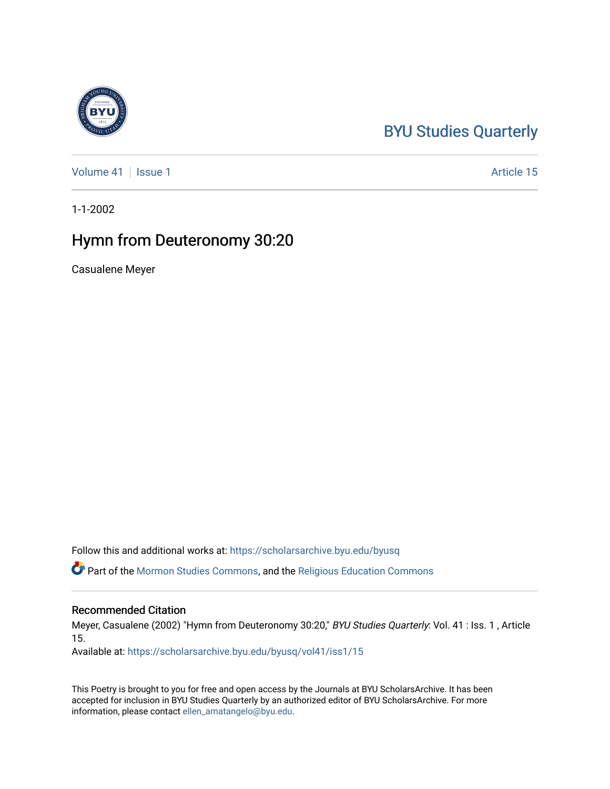## [BYU Studies Quarterly](https://scholarsarchive.byu.edu/byusq)

[Volume 41](https://scholarsarchive.byu.edu/byusq/vol41) | [Issue 1](https://scholarsarchive.byu.edu/byusq/vol41/iss1) Article 15

1-1-2002

## Hymn from Deuteronomy 30:20

Casualene Meyer

Follow this and additional works at: [https://scholarsarchive.byu.edu/byusq](https://scholarsarchive.byu.edu/byusq?utm_source=scholarsarchive.byu.edu%2Fbyusq%2Fvol41%2Fiss1%2F15&utm_medium=PDF&utm_campaign=PDFCoverPages) 

Part of the [Mormon Studies Commons](http://network.bepress.com/hgg/discipline/1360?utm_source=scholarsarchive.byu.edu%2Fbyusq%2Fvol41%2Fiss1%2F15&utm_medium=PDF&utm_campaign=PDFCoverPages), and the [Religious Education Commons](http://network.bepress.com/hgg/discipline/1414?utm_source=scholarsarchive.byu.edu%2Fbyusq%2Fvol41%2Fiss1%2F15&utm_medium=PDF&utm_campaign=PDFCoverPages) 

## Recommended Citation

Meyer, Casualene (2002) "Hymn from Deuteronomy 30:20," BYU Studies Quarterly: Vol. 41 : Iss. 1 , Article 15.

Available at: [https://scholarsarchive.byu.edu/byusq/vol41/iss1/15](https://scholarsarchive.byu.edu/byusq/vol41/iss1/15?utm_source=scholarsarchive.byu.edu%2Fbyusq%2Fvol41%2Fiss1%2F15&utm_medium=PDF&utm_campaign=PDFCoverPages) 

This Poetry is brought to you for free and open access by the Journals at BYU ScholarsArchive. It has been accepted for inclusion in BYU Studies Quarterly by an authorized editor of BYU ScholarsArchive. For more information, please contact [ellen\\_amatangelo@byu.edu.](mailto:ellen_amatangelo@byu.edu)